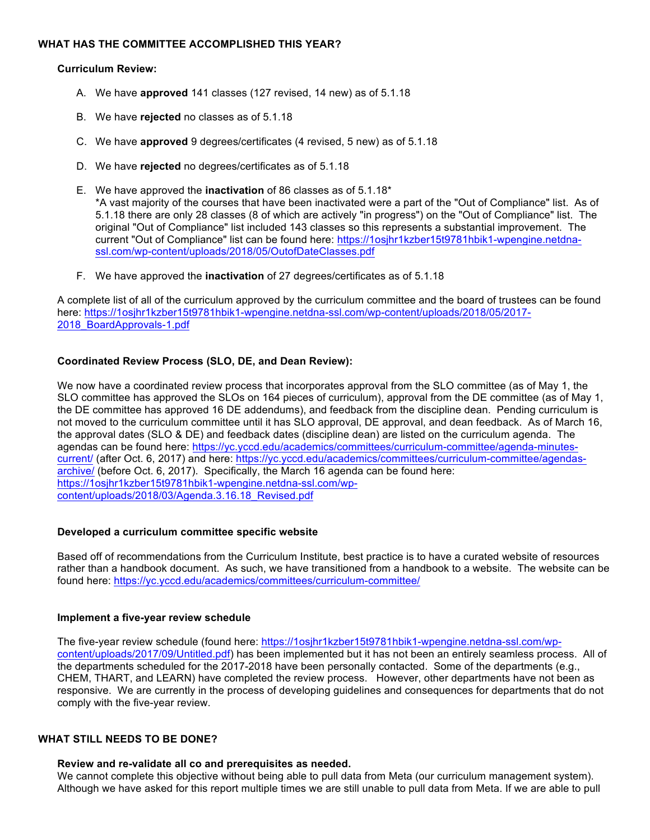### **WHAT HAS THE COMMITTEE ACCOMPLISHED THIS YEAR?**

### **Curriculum Review:**

- A. We have **approved** 141 classes (127 revised, 14 new) as of 5.1.18
- B. We have **rejected** no classes as of 5.1.18
- C. We have **approved** 9 degrees/certificates (4 revised, 5 new) as of 5.1.18
- D. We have **rejected** no degrees/certificates as of 5.1.18
- E. We have approved the **inactivation** of 86 classes as of 5.1.18\* \*A vast majority of the courses that have been inactivated were a part of the "Out of Compliance" list. As of 5.1.18 there are only 28 classes (8 of which are actively "in progress") on the "Out of Compliance" list. The original "Out of Compliance" list included 143 classes so this represents a substantial improvement. The current "Out of Compliance" list can be found here: https://1osjhr1kzber15t9781hbik1-wpengine.netdnassl.com/wp-content/uploads/2018/05/OutofDateClasses.pdf
- F. We have approved the **inactivation** of 27 degrees/certificates as of 5.1.18

A complete list of all of the curriculum approved by the curriculum committee and the board of trustees can be found here: https://1osjhr1kzber15t9781hbik1-wpengine.netdna-ssl.com/wp-content/uploads/2018/05/2017- 2018\_BoardApprovals-1.pdf

## **Coordinated Review Process (SLO, DE, and Dean Review):**

We now have a coordinated review process that incorporates approval from the SLO committee (as of May 1, the SLO committee has approved the SLOs on 164 pieces of curriculum), approval from the DE committee (as of May 1, the DE committee has approved 16 DE addendums), and feedback from the discipline dean. Pending curriculum is not moved to the curriculum committee until it has SLO approval, DE approval, and dean feedback. As of March 16, the approval dates (SLO & DE) and feedback dates (discipline dean) are listed on the curriculum agenda. The agendas can be found here: https://yc.yccd.edu/academics/committees/curriculum-committee/agenda-minutescurrent/ (after Oct. 6, 2017) and here: https://yc.yccd.edu/academics/committees/curriculum-committee/agendasarchive/ (before Oct. 6, 2017). Specifically, the March 16 agenda can be found here: https://1osjhr1kzber15t9781hbik1-wpengine.netdna-ssl.com/wpcontent/uploads/2018/03/Agenda.3.16.18\_Revised.pdf

### **Developed a curriculum committee specific website**

Based off of recommendations from the Curriculum Institute, best practice is to have a curated website of resources rather than a handbook document. As such, we have transitioned from a handbook to a website. The website can be found here: https://yc.yccd.edu/academics/committees/curriculum-committee/

### **Implement a five-year review schedule**

The five-year review schedule (found here: https://1osjhr1kzber15t9781hbik1-wpengine.netdna-ssl.com/wpcontent/uploads/2017/09/Untitled.pdf) has been implemented but it has not been an entirely seamless process. All of the departments scheduled for the 2017-2018 have been personally contacted. Some of the departments (e.g., CHEM, THART, and LEARN) have completed the review process. However, other departments have not been as responsive. We are currently in the process of developing guidelines and consequences for departments that do not comply with the five-year review.

### **WHAT STILL NEEDS TO BE DONE?**

#### **Review and re-validate all co and prerequisites as needed.**

We cannot complete this objective without being able to pull data from Meta (our curriculum management system). Although we have asked for this report multiple times we are still unable to pull data from Meta. If we are able to pull